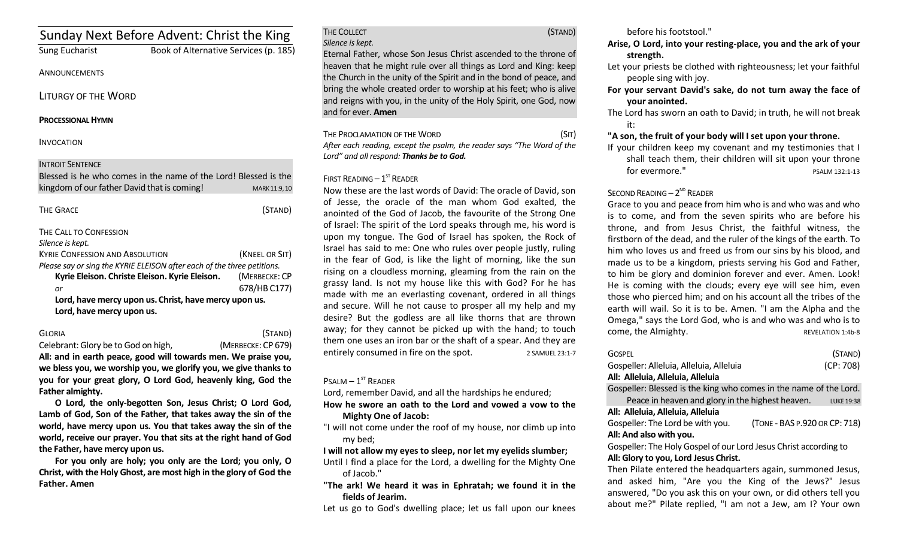| Sunday Next Before Advent: Christ the King            |                                                                                          |  |
|-------------------------------------------------------|------------------------------------------------------------------------------------------|--|
| Sung Eucharist                                        | Book of Alternative Services (p. 185)                                                    |  |
| ANNOUNCEMENTS                                         |                                                                                          |  |
| LITURGY OF THE WORD                                   |                                                                                          |  |
| <b>PROCESSIONAL HYMN</b>                              |                                                                                          |  |
| <b>INVOCATION</b>                                     |                                                                                          |  |
| <b>INTROIT SENTENCE</b>                               |                                                                                          |  |
|                                                       | Blessed is he who comes in the name of the Lord! Blessed is the                          |  |
| kingdom of our father David that is coming!           | MARK 11:9, 10                                                                            |  |
| <b>THE GRACE</b>                                      | (STAND)                                                                                  |  |
| THE CALL TO CONFESSION                                |                                                                                          |  |
| Silence is kept.                                      |                                                                                          |  |
| <b>KYRIE CONFESSION AND ABSOLUTION</b>                | (KNEEL OR SIT)                                                                           |  |
| Kyrie Eleison. Christe Eleison. Kyrie Eleison.        | Please say or sing the KYRIE ELEISON after each of the three petitions.<br>(MERBECKE: CP |  |
| $\alpha$                                              | 678/HB C177)                                                                             |  |
| Lord, have mercy upon us. Christ, have mercy upon us. |                                                                                          |  |
|                                                       |                                                                                          |  |

#### GLORIA (STAND)

Celebrant: Glory be to God on high, (MERBECKE: CP 679)

**All: and in earth peace, good will towards men. We praise you, we bless you, we worship you, we glorify you, we give thanks to you for your great glory, O Lord God, heavenly king, God the Father almighty.**

**O Lord, the only-begotten Son, Jesus Christ; O Lord God, Lamb of God, Son of the Father, that takes away the sin of the world, have mercy upon us. You that takes away the sin of the world, receive our prayer. You that sits at the right hand of God the Father, have mercy upon us.**

**For you only are holy; you only are the Lord; you only, O Christ, with the Holy Ghost, are most high in the glory of God the Father. Amen**

### THE COLLECT **THE COLLECT COLLECT COLLECT COLLECT COLLECT COLLECT COLLECT COLLECT COLLECT COLLECT** *Silence is kept.*

Eternal Father, whose Son Jesus Christ ascended to the throne of heaven that he might rule over all things as Lord and King: keep the Church in the unity of the Spirit and in the bond of peace, and bring the whole created order to worship at his feet; who is alive and reigns with you, in the unity of the Holy Spirit, one God, now and for ever. **Amen**

THE PROCLAMATION OF THE WORD (SIT)

## *After each reading, except the psalm, the reader says "The Word of the Lord" and all respond: Thanks be to God.*

# FIRST READING  $-1^{ST}$  READER

Now these are the last words of David: The oracle of David, son of Jesse, the oracle of the man whom God exalted, the anointed of the God of Jacob, the favourite of the Strong One of Israel: The spirit of the Lord speaks through me, his word is upon my tongue. The God of Israel has spoken, the Rock of Israel has said to me: One who rules over people justly, ruling in the fear of God, is like the light of morning, like the sun rising on a cloudless morning, gleaming from the rain on the grassy land. Is not my house like this with God? For he has made with me an everlasting covenant, ordered in all things and secure. Will he not cause to prosper all my help and my desire? But the godless are all like thorns that are thrown away; for they cannot be picked up with the hand; to touch them one uses an iron bar or the shaft of a spear. And they are entirely consumed in fire on the spot. 2 SAMUEL 23:1-7

# $P$ SALM  $-1$ <sup>ST</sup> READER

Lord, remember David, and all the hardships he endured;

### **How he swore an oath to the Lord and vowed a vow to the Mighty One of Jacob:**

"I will not come under the roof of my house, nor climb up into my bed;

**I will not allow my eyes to sleep, nor let my eyelids slumber;** Until I find a place for the Lord, a dwelling for the Mighty One of Jacob."

**"The ark! We heard it was in Ephratah; we found it in the fields of Jearim.** 

Let us go to God's dwelling place; let us fall upon our knees

before his footstool."

- **Arise, O Lord, into your resting-place, you and the ark of your strength.**
- Let your priests be clothed with righteousness; let your faithful people sing with joy.
- **For your servant David's sake, do not turn away the face of your anointed.**
- The Lord has sworn an oath to David; in truth, he will not break it:

# **"A son, the fruit of your body will I set upon your throne.**

If your children keep my covenant and my testimonies that I shall teach them, their children will sit upon your throne for evermore." The contract of the pSALM 132:1-13

# SECOND READING  $-2^{ND}$  READER

Grace to you and peace from him who is and who was and who is to come, and from the seven spirits who are before his throne, and from Jesus Christ, the faithful witness, the firstborn of the dead, and the ruler of the kings of the earth. To him who loves us and freed us from our sins by his blood, and made us to be a kingdom, priests serving his God and Father, to him be glory and dominion forever and ever. Amen. Look! He is coming with the clouds; every eye will see him, even those who pierced him; and on his account all the tribes of the earth will wail. So it is to be. Amen. "I am the Alpha and the Omega," says the Lord God, who is and who was and who is to come, the Almighty. The reversion of the Almighty.

| <b>GOSPEL</b>                           | (STAND)   |
|-----------------------------------------|-----------|
| Gospeller: Alleluia, Alleluia, Alleluia | (CP: 708) |
| All: Alleluia, Alleluia, Alleluia       |           |

Gospeller: Blessed is the king who comes in the name of the Lord. Peace in heaven and glory in the highest heaven. LUKE 19:38

## **All: Alleluia, Alleluia, Alleluia**

Gospeller: The Lord be with you. (TONE - BAS P.920 OR CP: 718) **All: And also with you.** 

Gospeller: The Holy Gospel of our Lord Jesus Christ according to **All: Glory to you, Lord Jesus Christ.**

Then Pilate entered the headquarters again, summoned Jesus, and asked him, "Are you the King of the Jews?" Jesus answered, "Do you ask this on your own, or did others tell you about me?" Pilate replied, "I am not a Jew, am I? Your own